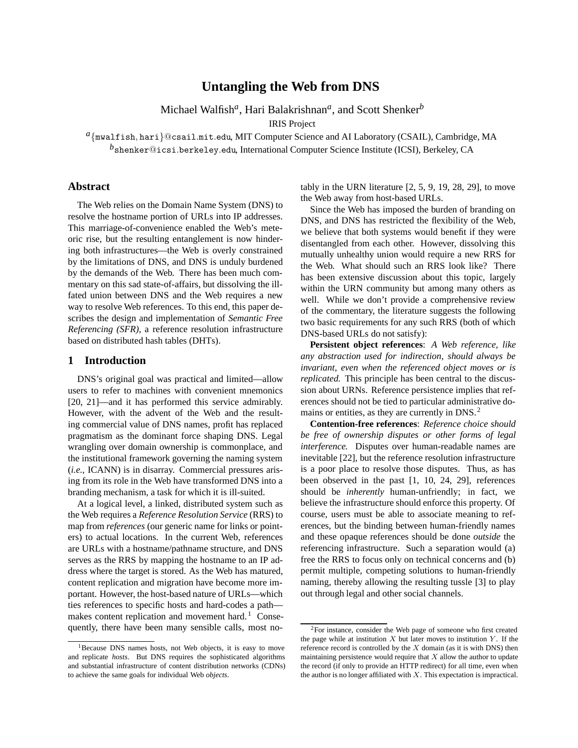# **Untangling the Web from DNS**

Michael Walfish*a*, Hari Balakrishnan*a*, and Scott Shenker*<sup>b</sup>*

IRIS Project

*<sup>a</sup>{*mwalfish*,* hari*}*@csail*.*mit*.*edu, MIT Computer Science and AI Laboratory (CSAIL), Cambridge, MA

*<sup>b</sup>*shenker@icsi*.*berkeley*.*edu, International Computer Science Institute (ICSI), Berkeley, CA

# **Abstract**

The Web relies on the Domain Name System (DNS) to resolve the hostname portion of URLs into IP addresses. This marriage-of-convenience enabled the Web's meteoric rise, but the resulting entanglement is now hindering both infrastructures—the Web is overly constrained by the limitations of DNS, and DNS is unduly burdened by the demands of the Web. There has been much commentary on this sad state-of-affairs, but dissolving the illfated union between DNS and the Web requires a new way to resolve Web references. To this end, this paper describes the design and implementation of *Semantic Free Referencing (SFR)*, a reference resolution infrastructure based on distributed hash tables (DHTs).

### **1 Introduction**

DNS's original goal was practical and limited—allow users to refer to machines with convenient mnemonics [20, 21]—and it has performed this service admirably. However, with the advent of the Web and the resulting commercial value of DNS names, profit has replaced pragmatism as the dominant force shaping DNS. Legal wrangling over domain ownership is commonplace, and the institutional framework governing the naming system (*i.e.*, ICANN) is in disarray. Commercial pressures arising from its role in the Web have transformed DNS into a branding mechanism, a task for which it is ill-suited.

At a logical level, a linked, distributed system such as the Web requires a *Reference Resolution Service* (RRS) to map from *references* (our generic name for links or pointers) to actual locations. In the current Web, references are URLs with a hostname/pathname structure, and DNS serves as the RRS by mapping the hostname to an IP address where the target is stored. As the Web has matured, content replication and migration have become more important. However, the host-based nature of URLs—which ties references to specific hosts and hard-codes a path makes content replication and movement hard.<sup>1</sup> Consequently, there have been many sensible calls, most notably in the URN literature [2, 5, 9, 19, 28, 29], to move the Web away from host-based URLs.

Since the Web has imposed the burden of branding on DNS, and DNS has restricted the flexibility of the Web, we believe that both systems would benefit if they were disentangled from each other. However, dissolving this mutually unhealthy union would require a new RRS for the Web. What should such an RRS look like? There has been extensive discussion about this topic, largely within the URN community but among many others as well. While we don't provide a comprehensive review of the commentary, the literature suggests the following two basic requirements for any such RRS (both of which DNS-based URLs do not satisfy):

**Persistent object references**: *A Web reference, like any abstraction used for indirection, should always be invariant, even when the referenced object moves or is replicated.* This principle has been central to the discussion about URNs. Reference persistence implies that references should not be tied to particular administrative domains or entities, as they are currently in DNS.<sup>2</sup>

**Contention-free references**: *Reference choice should be free of ownership disputes or other forms of legal interference.* Disputes over human-readable names are inevitable [22], but the reference resolution infrastructure is a poor place to resolve those disputes. Thus, as has been observed in the past [1, 10, 24, 29], references should be *inherently* human-unfriendly; in fact, we believe the infrastructure should enforce this property. Of course, users must be able to associate meaning to references, but the binding between human-friendly names and these opaque references should be done *outside* the referencing infrastructure. Such a separation would (a) free the RRS to focus only on technical concerns and (b) permit multiple, competing solutions to human-friendly naming, thereby allowing the resulting tussle [3] to play out through legal and other social channels.

<sup>&</sup>lt;sup>1</sup>Because DNS names hosts, not Web objects, it is easy to move and replicate *hosts*. But DNS requires the sophisticated algorithms and substantial infrastructure of content distribution networks (CDNs) to achieve the same goals for individual Web *objects*.

<sup>2</sup>For instance, consider the Web page of someone who first created the page while at institution *X* but later moves to institution *Y* . If the reference record is controlled by the *X* domain (as it is with DNS) then maintaining persistence would require that *X* allow the author to update the record (if only to provide an HTTP redirect) for all time, even when the author is no longer affiliated with *X*. This expectation is impractical.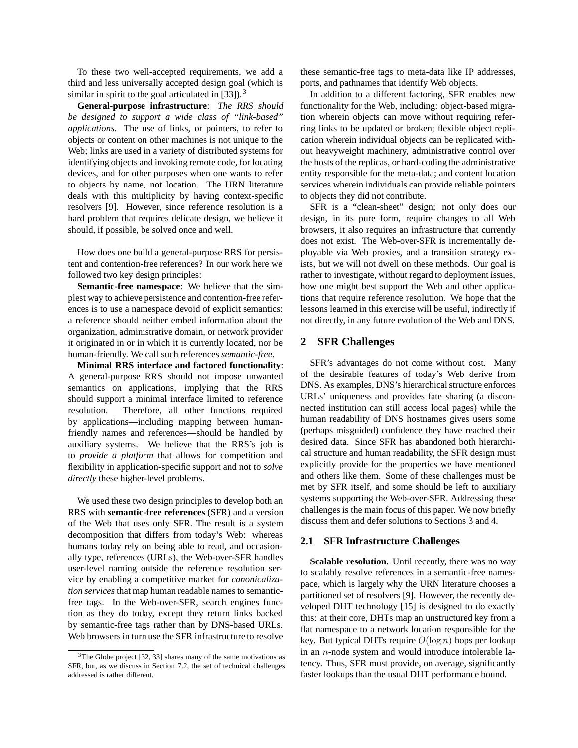To these two well-accepted requirements, we add a third and less universally accepted design goal (which is similar in spirit to the goal articulated in  $[33]$ ).<sup>3</sup>

**General-purpose infrastructure**: *The RRS should be designed to support a wide class of "link-based" applications.* The use of links, or pointers, to refer to objects or content on other machines is not unique to the Web; links are used in a variety of distributed systems for identifying objects and invoking remote code, for locating devices, and for other purposes when one wants to refer to objects by name, not location. The URN literature deals with this multiplicity by having context-specific resolvers [9]. However, since reference resolution is a hard problem that requires delicate design, we believe it should, if possible, be solved once and well.

How does one build a general-purpose RRS for persistent and contention-free references? In our work here we followed two key design principles:

**Semantic-free namespace**: We believe that the simplest way to achieve persistence and contention-free references is to use a namespace devoid of explicit semantics: a reference should neither embed information about the organization, administrative domain, or network provider it originated in or in which it is currently located, nor be human-friendly. We call such references *semantic-free*.

**Minimal RRS interface and factored functionality**: A general-purpose RRS should not impose unwanted semantics on applications, implying that the RRS should support a minimal interface limited to reference resolution. Therefore, all other functions required by applications—including mapping between humanfriendly names and references—should be handled by auxiliary systems. We believe that the RRS's job is to *provide a platform* that allows for competition and flexibility in application-specific support and not to *solve directly* these higher-level problems.

We used these two design principles to develop both an RRS with **semantic-free references** (SFR) and a version of the Web that uses only SFR. The result is a system decomposition that differs from today's Web: whereas humans today rely on being able to read, and occasionally type, references (URLs), the Web-over-SFR handles user-level naming outside the reference resolution service by enabling a competitive market for *canonicalization services* that map human readable names to semanticfree tags. In the Web-over-SFR, search engines function as they do today, except they return links backed by semantic-free tags rather than by DNS-based URLs. Web browsers in turn use the SFR infrastructure to resolve these semantic-free tags to meta-data like IP addresses, ports, and pathnames that identify Web objects.

In addition to a different factoring, SFR enables new functionality for the Web, including: object-based migration wherein objects can move without requiring referring links to be updated or broken; flexible object replication wherein individual objects can be replicated without heavyweight machinery, administrative control over the hosts of the replicas, or hard-coding the administrative entity responsible for the meta-data; and content location services wherein individuals can provide reliable pointers to objects they did not contribute.

SFR is a "clean-sheet" design; not only does our design, in its pure form, require changes to all Web browsers, it also requires an infrastructure that currently does not exist. The Web-over-SFR is incrementally deployable via Web proxies, and a transition strategy exists, but we will not dwell on these methods. Our goal is rather to investigate, without regard to deployment issues, how one might best support the Web and other applications that require reference resolution. We hope that the lessons learned in this exercise will be useful, indirectly if not directly, in any future evolution of the Web and DNS.

# **2 SFR Challenges**

SFR's advantages do not come without cost. Many of the desirable features of today's Web derive from DNS. As examples, DNS's hierarchical structure enforces URLs' uniqueness and provides fate sharing (a disconnected institution can still access local pages) while the human readability of DNS hostnames gives users some (perhaps misguided) confidence they have reached their desired data. Since SFR has abandoned both hierarchical structure and human readability, the SFR design must explicitly provide for the properties we have mentioned and others like them. Some of these challenges must be met by SFR itself, and some should be left to auxiliary systems supporting the Web-over-SFR. Addressing these challenges is the main focus of this paper. We now briefly discuss them and defer solutions to Sections 3 and 4.

# **2.1 SFR Infrastructure Challenges**

Scalable resolution. Until recently, there was no way to scalably resolve references in a semantic-free namespace, which is largely why the URN literature chooses a partitioned set of resolvers [9]. However, the recently developed DHT technology [15] is designed to do exactly this: at their core, DHTs map an unstructured key from a flat namespace to a network location responsible for the key. But typical DHTs require *<sup>O</sup>*(log *<sup>n</sup>*) hops per lookup in an *n*-node system and would introduce intolerable latency. Thus, SFR must provide, on average, significantly faster lookups than the usual DHT performance bound.

 $3$ The Globe project [32, 33] shares many of the same motivations as SFR, but, as we discuss in Section 7.2, the set of technical challenges addressed is rather different.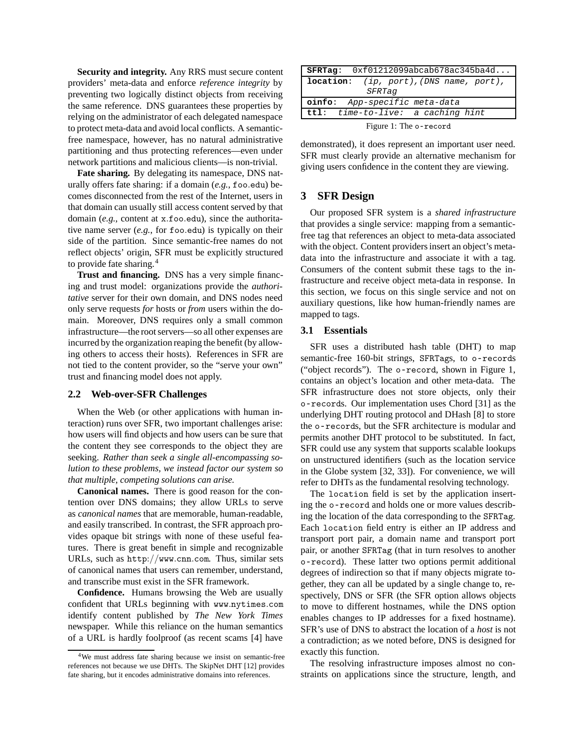**Security and integrity.** Any RRS must secure content providers' meta-data and enforce *reference integrity* by preventing two logically distinct objects from receiving the same reference. DNS guarantees these properties by relying on the administrator of each delegated namespace to protect meta-data and avoid local conflicts. A semanticfree namespace, however, has no natural administrative partitioning and thus protecting references—even under network partitions and malicious clients—is non-trivial.

**Fate sharing.** By delegating its namespace, DNS naturally offers fate sharing: if a domain (*e.g.*, foo*.*edu) becomes disconnected from the rest of the Internet, users in that domain can usually still access content served by that domain (*e.g.*, content at x*.*foo*.*edu), since the authoritative name server (*e.g.*, for foo*.*edu) is typically on their side of the partition. Since semantic-free names do not reflect objects' origin, SFR must be explicitly structured to provide fate sharing.<sup>4</sup>

**Trust and financing.** DNS has a very simple financing and trust model: organizations provide the *authoritative* server for their own domain, and DNS nodes need only serve requests *for* hosts or *from* users within the domain. Moreover, DNS requires only a small common infrastructure—the root servers—so all other expenses are incurred by the organization reaping the benefit (by allowing others to access their hosts). References in SFR are not tied to the content provider, so the "serve your own" trust and financing model does not apply.

### **2.2 Web-over-SFR Challenges**

When the Web (or other applications with human interaction) runs over SFR, two important challenges arise: how users will find objects and how users can be sure that the content they see corresponds to the object they are seeking. *Rather than seek a single all-encompassing solution to these problems, we instead factor our system so that multiple, competing solutions can arise.*

**Canonical names.** There is good reason for the contention over DNS domains; they allow URLs to serve as *canonical names* that are memorable, human-readable, and easily transcribed. In contrast, the SFR approach provides opaque bit strings with none of these useful features. There is great benefit in simple and recognizable URLs, such as http:*//*www*.*cnn*.*com. Thus, similar sets of canonical names that users can remember, understand, and transcribe must exist in the SFR framework.

**Confidence.** Humans browsing the Web are usually confident that URLs beginning with www*.*nytimes*.*com identify content published by *The New York Times* newspaper. While this reliance on the human semantics of a URL is hardly foolproof (as recent scams [4] have

| $SFRTag: 0xf01212099abcab678ac345ba4d$         |  |
|------------------------------------------------|--|
| <b>location:</b> (ip, port), (DNS name, port), |  |
| SFRTag                                         |  |
| oinfo: App-specific meta-data                  |  |
| $ttl: time-to-live: a caching hint$            |  |
| Figure 1: The o-record                         |  |

demonstrated), it does represent an important user need. SFR must clearly provide an alternative mechanism for giving users confidence in the content they are viewing.

# **3 SFR Design**

Our proposed SFR system is a *shared infrastructure* that provides a single service: mapping from a semanticfree tag that references an object to meta-data associated with the object. Content providers insert an object's metadata into the infrastructure and associate it with a tag. Consumers of the content submit these tags to the infrastructure and receive object meta-data in response. In this section, we focus on this single service and not on auxiliary questions, like how human-friendly names are mapped to tags.

#### **3.1 Essentials**

SFR uses a distributed hash table (DHT) to map semantic-free 160-bit strings, SFRTags, to o-records ("object records"). The o-record, shown in Figure 1, contains an object's location and other meta-data. The SFR infrastructure does not store objects, only their o-records. Our implementation uses Chord [31] as the underlying DHT routing protocol and DHash [8] to store the o-records, but the SFR architecture is modular and permits another DHT protocol to be substituted. In fact, SFR could use any system that supports scalable lookups on unstructured identifiers (such as the location service in the Globe system [32, 33]). For convenience, we will refer to DHTs as the fundamental resolving technology.

The location field is set by the application inserting the o-record and holds one or more values describing the location of the data corresponding to the SFRTag. Each location field entry is either an IP address and transport port pair, a domain name and transport port pair, or another SFRTag (that in turn resolves to another o-record). These latter two options permit additional degrees of indirection so that if many objects migrate together, they can all be updated by a single change to, respectively, DNS or SFR (the SFR option allows objects to move to different hostnames, while the DNS option enables changes to IP addresses for a fixed hostname). SFR's use of DNS to abstract the location of a *host* is not a contradiction; as we noted before, DNS is designed for exactly this function.

The resolving infrastructure imposes almost no constraints on applications since the structure, length, and

<sup>4</sup>We must address fate sharing because we insist on semantic-free references not because we use DHTs. The SkipNet DHT [12] provides fate sharing, but it encodes administrative domains into references.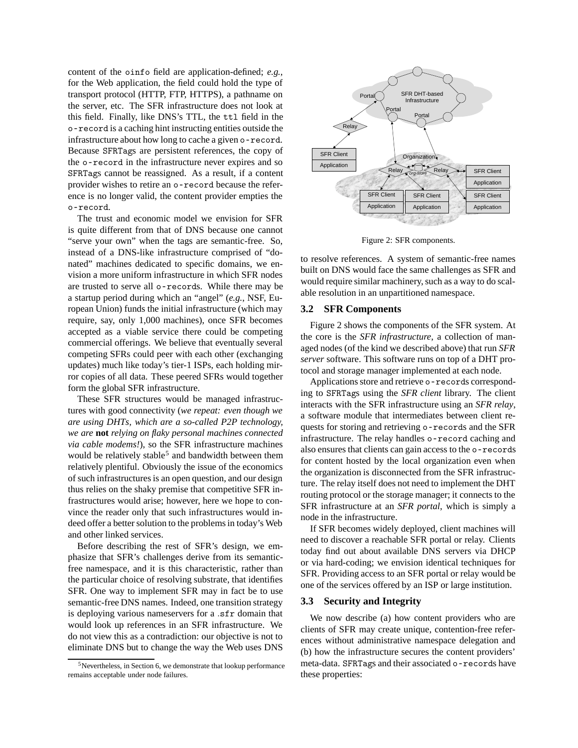content of the oinfo field are application-defined; *e.g.*, for the Web application, the field could hold the type of transport protocol (HTTP, FTP, HTTPS), a pathname on the server, etc. The SFR infrastructure does not look at this field. Finally, like DNS's TTL, the ttl field in the o-record is a caching hint instructing entities outside the infrastructure about how long to cache a given o-record. Because SFRTags are persistent references, the copy of the o-record in the infrastructure never expires and so SFRTags cannot be reassigned. As a result, if a content provider wishes to retire an o-record because the reference is no longer valid, the content provider empties the o-record.

The trust and economic model we envision for SFR is quite different from that of DNS because one cannot "serve your own" when the tags are semantic-free. So, instead of a DNS-like infrastructure comprised of "donated" machines dedicated to specific domains, we envision a more uniform infrastructure in which SFR nodes are trusted to serve all o-records. While there may be a startup period during which an "angel" (*e.g.*, NSF, European Union) funds the initial infrastructure (which may require, say, only 1,000 machines), once SFR becomes accepted as a viable service there could be competing commercial offerings. We believe that eventually several competing SFRs could peer with each other (exchanging updates) much like today's tier-1 ISPs, each holding mirror copies of all data. These peered SFRs would together form the global SFR infrastructure.

These SFR structures would be managed infrastructures with good connectivity (*we repeat: even though we are using DHTs, which are a so-called P2P technology, we are* **not** *relying on flaky personal machines connected via cable modems!*), so the SFR infrastructure machines would be relatively stable<sup>5</sup> and bandwidth between them relatively plentiful. Obviously the issue of the economics of such infrastructures is an open question, and our design thus relies on the shaky premise that competitive SFR infrastructures would arise; however, here we hope to convince the reader only that such infrastructures would indeed offer a better solution to the problems in today's Web and other linked services.

Before describing the rest of SFR's design, we emphasize that SFR's challenges derive from its semanticfree namespace, and it is this characteristic, rather than the particular choice of resolving substrate, that identifies SFR. One way to implement SFR may in fact be to use semantic-free DNS names. Indeed, one transition strategy is deploying various nameservers for a *.*sfr domain that would look up references in an SFR infrastructure. We do not view this as a contradiction: our objective is not to eliminate DNS but to change the way the Web uses DNS



Figure 2: SFR components.

to resolve references. A system of semantic-free names built on DNS would face the same challenges as SFR and would require similar machinery, such as a way to do scalable resolution in an unpartitioned namespace.

# **3.2 SFR Components**

Figure 2 shows the components of the SFR system. At the core is the *SFR infrastructure*, a collection of managed nodes (of the kind we described above) that run *SFR server* software. This software runs on top of a DHT protocol and storage manager implemented at each node.

Applications store and retrieve o-records corresponding to SFRTags using the *SFR client* library. The client interacts with the SFR infrastructure using an *SFR relay*, a software module that intermediates between client requests for storing and retrieving o-records and the SFR infrastructure. The relay handles o-record caching and also ensures that clients can gain access to the o-records for content hosted by the local organization even when the organization is disconnected from the SFR infrastructure. The relay itself does not need to implement the DHT routing protocol or the storage manager; it connects to the SFR infrastructure at an *SFR portal*, which is simply a node in the infrastructure.

If SFR becomes widely deployed, client machines will need to discover a reachable SFR portal or relay. Clients today find out about available DNS servers via DHCP or via hard-coding; we envision identical techniques for SFR. Providing access to an SFR portal or relay would be one of the services offered by an ISP or large institution.

# **3.3 Security and Integrity**

We now describe (a) how content providers who are clients of SFR may create unique, contention-free references without administrative namespace delegation and (b) how the infrastructure secures the content providers' meta-data. SFRTags and their associated o-records have these properties:

 $5$ Nevertheless, in Section 6, we demonstrate that lookup performance remains acceptable under node failures.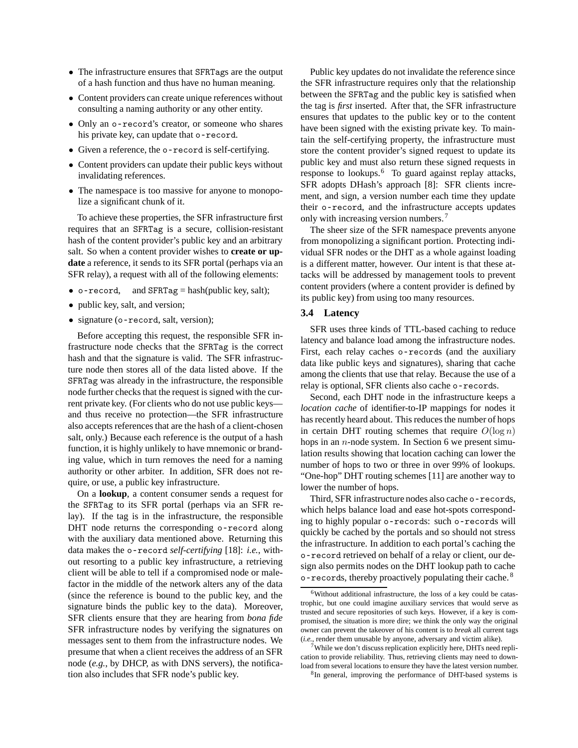- *•* The infrastructure ensures that SFRTags are the output of a hash function and thus have no human meaning.
- *•* Content providers can create unique references without consulting a naming authority or any other entity.
- *•* Only an o-record's creator, or someone who shares his private key, can update that o-record.
- *•* Given a reference, the o-record is self-certifying.
- *•* Content providers can update their public keys without invalidating references.
- The namespace is too massive for anyone to monopolize a significant chunk of it.

To achieve these properties, the SFR infrastructure first requires that an SFRTag is a secure, collision-resistant hash of the content provider's public key and an arbitrary salt. So when a content provider wishes to **create or update** a reference, it sends to its SFR portal (perhaps via an SFR relay), a request with all of the following elements:

- o-record, and SFRTag = hash(public key, salt);
- public key, salt, and version;
- signature (o-record, salt, version);

Before accepting this request, the responsible SFR infrastructure node checks that the SFRTag is the correct hash and that the signature is valid. The SFR infrastructure node then stores all of the data listed above. If the SFRTag was already in the infrastructure, the responsible node further checks that the request is signed with the current private key. (For clients who do not use public keys and thus receive no protection—the SFR infrastructure also accepts references that are the hash of a client-chosen salt, only.) Because each reference is the output of a hash function, it is highly unlikely to have mnemonic or branding value, which in turn removes the need for a naming authority or other arbiter. In addition, SFR does not require, or use, a public key infrastructure.

On a **lookup**, a content consumer sends a request for the SFRTag to its SFR portal (perhaps via an SFR relay). If the tag is in the infrastructure, the responsible DHT node returns the corresponding o-record along with the auxiliary data mentioned above. Returning this data makes the o-record *self-certifying* [18]: *i.e.*, without resorting to a public key infrastructure, a retrieving client will be able to tell if a compromised node or malefactor in the middle of the network alters any of the data (since the reference is bound to the public key, and the signature binds the public key to the data). Moreover, SFR clients ensure that they are hearing from *bona fide* SFR infrastructure nodes by verifying the signatures on messages sent to them from the infrastructure nodes. We presume that when a client receives the address of an SFR node (*e.g.*, by DHCP, as with DNS servers), the notification also includes that SFR node's public key.

Public key updates do not invalidate the reference since the SFR infrastructure requires only that the relationship between the SFRTag and the public key is satisfied when the tag is *first* inserted. After that, the SFR infrastructure ensures that updates to the public key or to the content have been signed with the existing private key. To maintain the self-certifying property, the infrastructure must store the content provider's signed request to update its public key and must also return these signed requests in response to lookups.<sup>6</sup> To guard against replay attacks, SFR adopts DHash's approach [8]: SFR clients increment, and sign, a version number each time they update their o-record, and the infrastructure accepts updates only with increasing version numbers.<sup>7</sup>

The sheer size of the SFR namespace prevents anyone from monopolizing a significant portion. Protecting individual SFR nodes or the DHT as a whole against loading is a different matter, however. Our intent is that these attacks will be addressed by management tools to prevent content providers (where a content provider is defined by its public key) from using too many resources.

#### **3.4 Latency**

SFR uses three kinds of TTL-based caching to reduce latency and balance load among the infrastructure nodes. First, each relay caches o-records (and the auxiliary data like public keys and signatures), sharing that cache among the clients that use that relay. Because the use of a relay is optional, SFR clients also cache o-records.

Second, each DHT node in the infrastructure keeps a *location cache* of identifier-to-IP mappings for nodes it has recently heard about. This reduces the number of hops in certain DHT routing schemes that require  $O(\log n)$ hops in an *n*-node system. In Section 6 we present simulation results showing that location caching can lower the number of hops to two or three in over 99% of lookups. "One-hop" DHT routing schemes [11] are another way to lower the number of hops.

Third, SFR infrastructure nodes also cache o-records, which helps balance load and ease hot-spots corresponding to highly popular o-records: such o-records will quickly be cached by the portals and so should not stress the infrastructure. In addition to each portal's caching the o-record retrieved on behalf of a relay or client, our design also permits nodes on the DHT lookup path to cache  $o$ -records, thereby proactively populating their cache.<sup>8</sup>

 $6$ Without additional infrastructure, the loss of a key could be catastrophic, but one could imagine auxiliary services that would serve as trusted and secure repositories of such keys. However, if a key is compromised, the situation is more dire; we think the only way the original owner can prevent the takeover of his content is to *break* all current tags (*i.e.*, render them unusable by anyone, adversary and victim alike).

<sup>7</sup>While we don't discuss replication explicitly here, DHTs need replication to provide reliability. Thus, retrieving clients may need to download from several locations to ensure they have the latest version number.

<sup>8</sup>In general, improving the performance of DHT-based systems is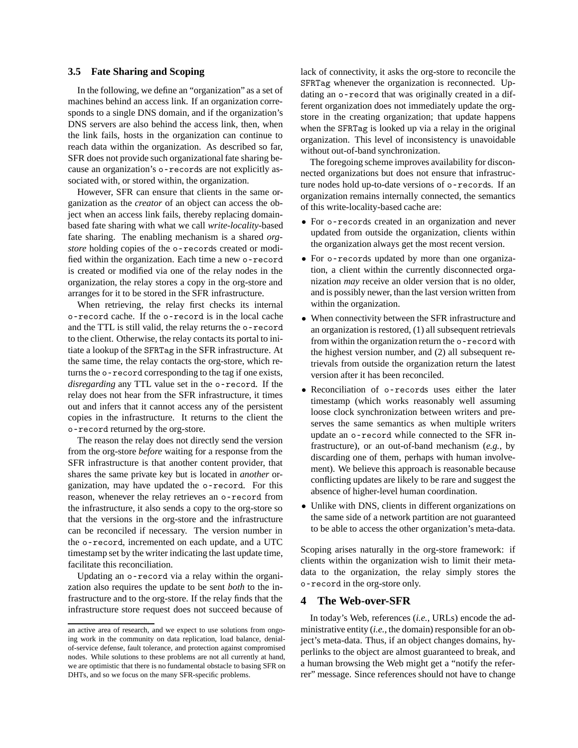# **3.5 Fate Sharing and Scoping**

In the following, we define an "organization" as a set of machines behind an access link. If an organization corresponds to a single DNS domain, and if the organization's DNS servers are also behind the access link, then, when the link fails, hosts in the organization can continue to reach data within the organization. As described so far, SFR does not provide such organizational fate sharing because an organization's o-records are not explicitly associated with, or stored within, the organization.

However, SFR can ensure that clients in the same organization as the *creator* of an object can access the object when an access link fails, thereby replacing domainbased fate sharing with what we call *write-locality*-based fate sharing. The enabling mechanism is a shared *orgstore* holding copies of the o-records created or modified within the organization. Each time a new o-record is created or modified via one of the relay nodes in the organization, the relay stores a copy in the org-store and arranges for it to be stored in the SFR infrastructure.

When retrieving, the relay first checks its internal o-record cache. If the o-record is in the local cache and the TTL is still valid, the relay returns the o-record to the client. Otherwise, the relay contacts its portal to initiate a lookup of the SFRTag in the SFR infrastructure. At the same time, the relay contacts the org-store, which returns the o-record corresponding to the tag if one exists, *disregarding* any TTL value set in the o-record. If the relay does not hear from the SFR infrastructure, it times out and infers that it cannot access any of the persistent copies in the infrastructure. It returns to the client the o-record returned by the org-store.

The reason the relay does not directly send the version from the org-store *before* waiting for a response from the SFR infrastructure is that another content provider, that shares the same private key but is located in *another* organization, may have updated the o-record. For this reason, whenever the relay retrieves an o-record from the infrastructure, it also sends a copy to the org-store so that the versions in the org-store and the infrastructure can be reconciled if necessary. The version number in the o-record, incremented on each update, and a UTC timestamp set by the writer indicating the last update time, facilitate this reconciliation.

Updating an o-record via a relay within the organization also requires the update to be sent *both* to the infrastructure and to the org-store. If the relay finds that the infrastructure store request does not succeed because of lack of connectivity, it asks the org-store to reconcile the SFRTag whenever the organization is reconnected. Updating an o-record that was originally created in a different organization does not immediately update the orgstore in the creating organization; that update happens when the SFRTag is looked up via a relay in the original organization. This level of inconsistency is unavoidable without out-of-band synchronization.

The foregoing scheme improves availability for disconnected organizations but does not ensure that infrastructure nodes hold up-to-date versions of o-records. If an organization remains internally connected, the semantics of this write-locality-based cache are:

- *•* For o-records created in an organization and never updated from outside the organization, clients within the organization always get the most recent version.
- *•* For o-records updated by more than one organization, a client within the currently disconnected organization *may* receive an older version that is no older, and is possibly newer, than the last version written from within the organization.
- When connectivity between the SFR infrastructure and an organization is restored, (1) all subsequent retrievals from within the organization return the o-record with the highest version number, and (2) all subsequent retrievals from outside the organization return the latest version after it has been reconciled.
- *•* Reconciliation of o-records uses either the later timestamp (which works reasonably well assuming loose clock synchronization between writers and preserves the same semantics as when multiple writers update an o-record while connected to the SFR infrastructure), or an out-of-band mechanism (*e.g.*, by discarding one of them, perhaps with human involvement). We believe this approach is reasonable because conflicting updates are likely to be rare and suggest the absence of higher-level human coordination.
- Unlike with DNS, clients in different organizations on the same side of a network partition are not guaranteed to be able to access the other organization's meta-data.

Scoping arises naturally in the org-store framework: if clients within the organization wish to limit their metadata to the organization, the relay simply stores the o-record in the org-store only.

# **4 The Web-over-SFR**

In today's Web, references (*i.e.*, URLs) encode the administrative entity (*i.e.*, the domain) responsible for an object's meta-data. Thus, if an object changes domains, hyperlinks to the object are almost guaranteed to break, and a human browsing the Web might get a "notify the referrer" message. Since references should not have to change

an active area of research, and we expect to use solutions from ongoing work in the community on data replication, load balance, denialof-service defense, fault tolerance, and protection against compromised nodes. While solutions to these problems are not all currently at hand, we are optimistic that there is no fundamental obstacle to basing SFR on DHTs, and so we focus on the many SFR-specific problems.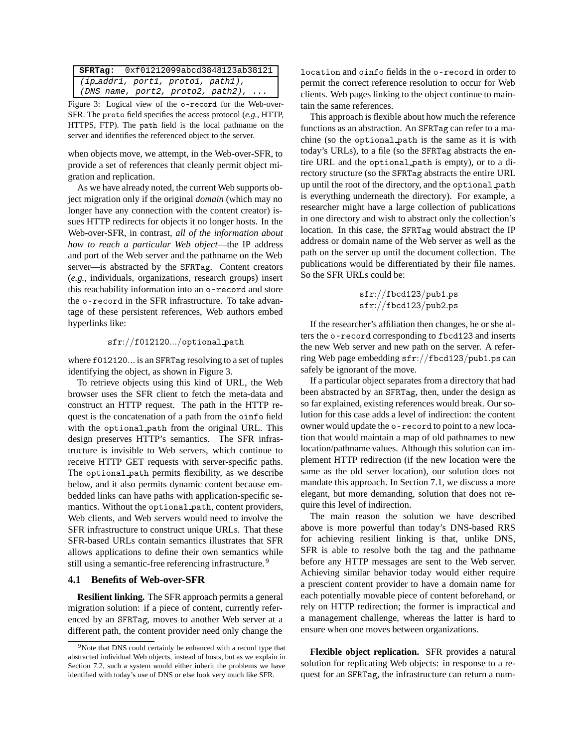| SFRTag: 0xf01212099abcd3848123ab38121 |
|---------------------------------------|
| (ip.addr1, port1, prot01, path1),     |
| $(DNS$ name, port2, proto2, path2),   |

Figure 3: Logical view of the o-record for the Web-over-SFR. The proto field specifies the access protocol (*e.g.*, HTTP, HTTPS, FTP). The path field is the local pathname on the server and identifies the referenced object to the server.

when objects move, we attempt, in the Web-over-SFR, to provide a set of references that cleanly permit object migration and replication.

As we have already noted, the current Web supports object migration only if the original *domain* (which may no longer have any connection with the content creator) issues HTTP redirects for objects it no longer hosts. In the Web-over-SFR, in contrast, *all of the information about how to reach a particular Web object*—the IP address and port of the Web server and the pathname on the Web server—is abstracted by the SFRTag. Content creators (*e.g.*, individuals, organizations, research groups) insert this reachability information into an o-record and store the o-record in the SFR infrastructure. To take advantage of these persistent references, Web authors embed hyperlinks like:

### sfr:*//*f012120*.../*optional path

where f012120*...* is an SFRTag resolving to a set of tuples identifying the object, as shown in Figure 3.

To retrieve objects using this kind of URL, the Web browser uses the SFR client to fetch the meta-data and construct an HTTP request. The path in the HTTP request is the concatenation of a path from the oinfo field with the optional path from the original URL. This design preserves HTTP's semantics. The SFR infrastructure is invisible to Web servers, which continue to receive HTTP GET requests with server-specific paths. The optional path permits flexibility, as we describe below, and it also permits dynamic content because embedded links can have paths with application-specific semantics. Without the optional path, content providers, Web clients, and Web servers would need to involve the SFR infrastructure to construct unique URLs. That these SFR-based URLs contain semantics illustrates that SFR allows applications to define their own semantics while still using a semantic-free referencing infrastructure.<sup>9</sup>

#### **4.1 Benefits of Web-over-SFR**

**Resilient linking.** The SFR approach permits a general migration solution: if a piece of content, currently referenced by an SFRTag, moves to another Web server at a different path, the content provider need only change the location and oinfo fields in the o-record in order to permit the correct reference resolution to occur for Web clients. Web pages linking to the object continue to maintain the same references.

This approach is flexible about how much the reference functions as an abstraction. An SFRTag can refer to a machine (so the optional path is the same as it is with today's URLs), to a file (so the SFRTag abstracts the entire URL and the optional path is empty), or to a directory structure (so the SFRTag abstracts the entire URL up until the root of the directory, and the optional path is everything underneath the directory). For example, a researcher might have a large collection of publications in one directory and wish to abstract only the collection's location. In this case, the SFRTag would abstract the IP address or domain name of the Web server as well as the path on the server up until the document collection. The publications would be differentiated by their file names. So the SFR URLs could be:

$$
\texttt{sfr}://fbcd123/pub1.ps}{\texttt{sfr}://fbcd123/pub2.ps}
$$

If the researcher's affiliation then changes, he or she alters the o-record corresponding to fbcd123 and inserts the new Web server and new path on the server. A referring Web page embedding sfr:*//*fbcd123*/*pub1*.*ps can safely be ignorant of the move.

If a particular object separates from a directory that had been abstracted by an SFRTag, then, under the design as so far explained, existing references would break. Our solution for this case adds a level of indirection: the content owner would update the o-record to point to a new location that would maintain a map of old pathnames to new location/pathname values. Although this solution can implement HTTP redirection (if the new location were the same as the old server location), our solution does not mandate this approach. In Section 7.1, we discuss a more elegant, but more demanding, solution that does not require this level of indirection.

The main reason the solution we have described above is more powerful than today's DNS-based RRS for achieving resilient linking is that, unlike DNS, SFR is able to resolve both the tag and the pathname before any HTTP messages are sent to the Web server. Achieving similar behavior today would either require a prescient content provider to have a domain name for each potentially movable piece of content beforehand, or rely on HTTP redirection; the former is impractical and a management challenge, whereas the latter is hard to ensure when one moves between organizations.

**Flexible object replication.** SFR provides a natural solution for replicating Web objects: in response to a request for an SFRTag, the infrastructure can return a num-

<sup>&</sup>lt;sup>9</sup>Note that DNS could certainly be enhanced with a record type that abstracted individual Web objects, instead of hosts, but as we explain in Section 7.2, such a system would either inherit the problems we have identified with today's use of DNS or else look very much like SFR.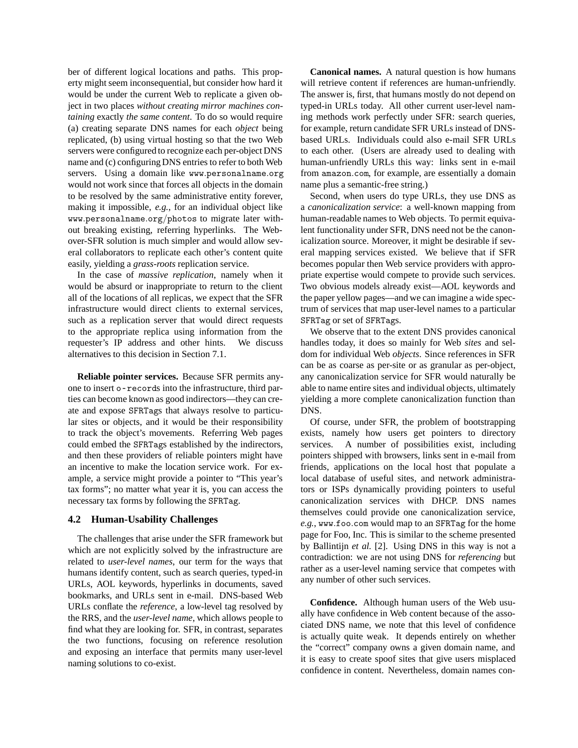ber of different logical locations and paths. This property might seem inconsequential, but consider how hard it would be under the current Web to replicate a given object in two places *without creating mirror machines containing* exactly *the same content*. To do so would require (a) creating separate DNS names for each *object* being replicated, (b) using virtual hosting so that the two Web servers were configured to recognize each per-object DNS name and (c) configuring DNS entries to refer to both Web servers. Using a domain like www*.*personalname*.*org would not work since that forces all objects in the domain to be resolved by the same administrative entity forever, making it impossible, *e.g.*, for an individual object like www*.*personalname*.*org*/*photos to migrate later without breaking existing, referring hyperlinks. The Webover-SFR solution is much simpler and would allow several collaborators to replicate each other's content quite easily, yielding a *grass-roots* replication service.

In the case of *massive replication*, namely when it would be absurd or inappropriate to return to the client all of the locations of all replicas, we expect that the SFR infrastructure would direct clients to external services, such as a replication server that would direct requests to the appropriate replica using information from the requester's IP address and other hints. We discuss alternatives to this decision in Section 7.1.

**Reliable pointer services.** Because SFR permits anyone to insert o-records into the infrastructure, third parties can become known as good indirectors—they can create and expose SFRTags that always resolve to particular sites or objects, and it would be their responsibility to track the object's movements. Referring Web pages could embed the SFRTags established by the indirectors, and then these providers of reliable pointers might have an incentive to make the location service work. For example, a service might provide a pointer to "This year's tax forms"; no matter what year it is, you can access the necessary tax forms by following the SFRTag.

# **4.2 Human-Usability Challenges**

The challenges that arise under the SFR framework but which are not explicitly solved by the infrastructure are related to *user-level names*, our term for the ways that humans identify content, such as search queries, typed-in URLs, AOL keywords, hyperlinks in documents, saved bookmarks, and URLs sent in e-mail. DNS-based Web URLs conflate the *reference*, a low-level tag resolved by the RRS, and the *user-level name*, which allows people to find what they are looking for. SFR, in contrast, separates the two functions, focusing on reference resolution and exposing an interface that permits many user-level naming solutions to co-exist.

**Canonical names.** A natural question is how humans will retrieve content if references are human-unfriendly. The answer is, first, that humans mostly do not depend on typed-in URLs today. All other current user-level naming methods work perfectly under SFR: search queries, for example, return candidate SFR URLs instead of DNSbased URLs. Individuals could also e-mail SFR URLs to each other. (Users are already used to dealing with human-unfriendly URLs this way: links sent in e-mail from amazon*.*com, for example, are essentially a domain name plus a semantic-free string.)

Second, when users do type URLs, they use DNS as a *canonicalization service*: a well-known mapping from human-readable names to Web objects. To permit equivalent functionality under SFR, DNS need not be the canonicalization source. Moreover, it might be desirable if several mapping services existed. We believe that if SFR becomes popular then Web service providers with appropriate expertise would compete to provide such services. Two obvious models already exist—AOL keywords and the paper yellow pages—and we can imagine a wide spectrum of services that map user-level names to a particular SFRTag or set of SFRTags.

We observe that to the extent DNS provides canonical handles today, it does so mainly for Web *sites* and seldom for individual Web *objects*. Since references in SFR can be as coarse as per-site or as granular as per-object, any canonicalization service for SFR would naturally be able to name entire sites and individual objects, ultimately yielding a more complete canonicalization function than DNS.

Of course, under SFR, the problem of bootstrapping exists, namely how users get pointers to directory services. A number of possibilities exist, including pointers shipped with browsers, links sent in e-mail from friends, applications on the local host that populate a local database of useful sites, and network administrators or ISPs dynamically providing pointers to useful canonicalization services with DHCP. DNS names themselves could provide one canonicalization service, *e.g.*, www*.*foo*.*com would map to an SFRTag for the home page for Foo, Inc. This is similar to the scheme presented by Ballintijn *et al.* [2]. Using DNS in this way is not a contradiction: we are not using DNS for *referencing* but rather as a user-level naming service that competes with any number of other such services.

**Confidence.** Although human users of the Web usually have confidence in Web content because of the associated DNS name, we note that this level of confidence is actually quite weak. It depends entirely on whether the "correct" company owns a given domain name, and it is easy to create spoof sites that give users misplaced confidence in content. Nevertheless, domain names con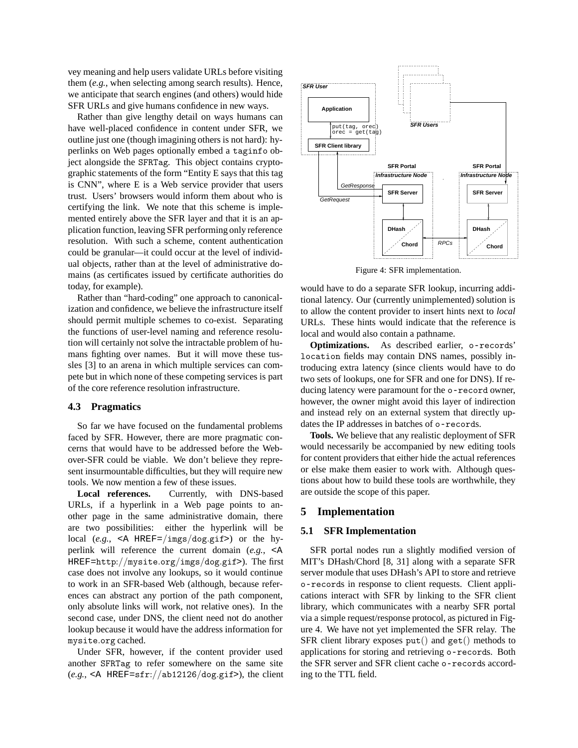vey meaning and help users validate URLs before visiting them (*e.g.*, when selecting among search results). Hence, we anticipate that search engines (and others) would hide SFR URLs and give humans confidence in new ways.

Rather than give lengthy detail on ways humans can have well-placed confidence in content under SFR, we outline just one (though imagining others is not hard): hyperlinks on Web pages optionally embed a taginfo object alongside the SFRTag. This object contains cryptographic statements of the form "Entity E says that this tag is CNN", where E is a Web service provider that users trust. Users' browsers would inform them about who is certifying the link. We note that this scheme is implemented entirely above the SFR layer and that it is an application function, leaving SFR performing only reference resolution. With such a scheme, content authentication could be granular—it could occur at the level of individual objects, rather than at the level of administrative domains (as certificates issued by certificate authorities do today, for example).

Rather than "hard-coding" one approach to canonicalization and confidence, we believe the infrastructure itself should permit multiple schemes to co-exist. Separating the functions of user-level naming and reference resolution will certainly not solve the intractable problem of humans fighting over names. But it will move these tussles [3] to an arena in which multiple services can compete but in which none of these competing services is part of the core reference resolution infrastructure.

#### **4.3 Pragmatics**

So far we have focused on the fundamental problems faced by SFR. However, there are more pragmatic concerns that would have to be addressed before the Webover-SFR could be viable. We don't believe they represent insurmountable difficulties, but they will require new tools. We now mention a few of these issues.

**Local references.** Currently, with DNS-based URLs, if a hyperlink in a Web page points to another page in the same administrative domain, there are two possibilities: either the hyperlink will be local (*e.g.*, <A HREF=*/*imgs*/*dog*.*gif>) or the hyperlink will reference the current domain (*e.g.*, <A HREF=http:*//*mysite*.*org*/*imgs*/*dog*.*gif>). The first case does not involve any lookups, so it would continue to work in an SFR-based Web (although, because references can abstract any portion of the path component, only absolute links will work, not relative ones). In the second case, under DNS, the client need not do another lookup because it would have the address information for mysite*.*org cached.

Under SFR, however, if the content provider used another SFRTag to refer somewhere on the same site (*e.g.*, <A HREF=sfr:*//*ab12126*/*dog*.*gif>), the client



Figure 4: SFR implementation.

would have to do a separate SFR lookup, incurring additional latency. Our (currently unimplemented) solution is to allow the content provider to insert hints next to *local* URLs. These hints would indicate that the reference is local and would also contain a pathname.

**Optimizations.** As described earlier, o-records' location fields may contain DNS names, possibly introducing extra latency (since clients would have to do two sets of lookups, one for SFR and one for DNS). If reducing latency were paramount for the o-record owner, however, the owner might avoid this layer of indirection and instead rely on an external system that directly updates the IP addresses in batches of o-records.

**Tools.** We believe that any realistic deployment of SFR would necessarily be accompanied by new editing tools for content providers that either hide the actual references or else make them easier to work with. Although questions about how to build these tools are worthwhile, they are outside the scope of this paper.

# **5 Implementation**

# **5.1 SFR Implementation**

SFR portal nodes run a slightly modified version of MIT's DHash/Chord [8, 31] along with a separate SFR server module that uses DHash's API to store and retrieve o-records in response to client requests. Client applications interact with SFR by linking to the SFR client library, which communicates with a nearby SFR portal via a simple request/response protocol, as pictured in Figure 4. We have not yet implemented the SFR relay. The SFR client library exposes put() and get() methods to applications for storing and retrieving o-records. Both the SFR server and SFR client cache o-records according to the TTL field.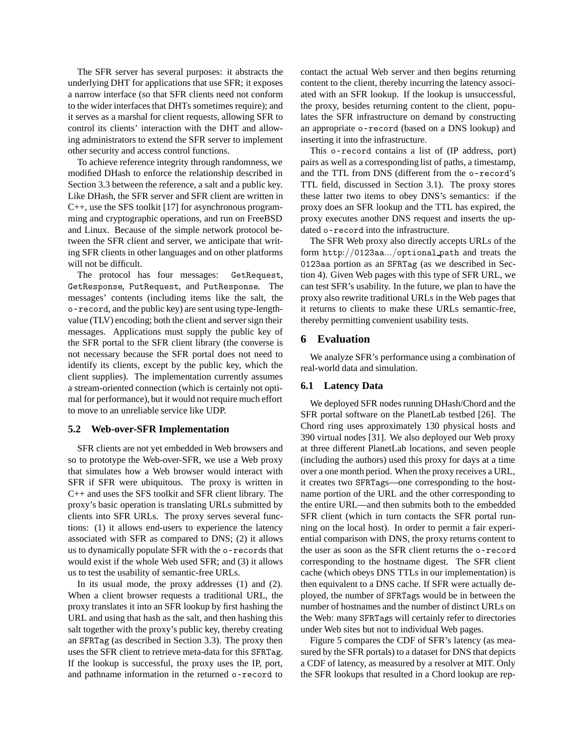The SFR server has several purposes: it abstracts the underlying DHT for applications that use SFR; it exposes a narrow interface (so that SFR clients need not conform to the wider interfaces that DHTs sometimes require); and it serves as a marshal for client requests, allowing SFR to control its clients' interaction with the DHT and allowing administrators to extend the SFR server to implement other security and access control functions.

To achieve reference integrity through randomness, we modified DHash to enforce the relationship described in Section 3.3 between the reference, a salt and a public key. Like DHash, the SFR server and SFR client are written in C++, use the SFS toolkit [17] for asynchronous programming and cryptographic operations, and run on FreeBSD and Linux. Because of the simple network protocol between the SFR client and server, we anticipate that writing SFR clients in other languages and on other platforms will not be difficult.

The protocol has four messages: GetRequest, GetResponse, PutRequest, and PutResponse. The messages' contents (including items like the salt, the o-record, and the public key) are sent using type-lengthvalue (TLV) encoding; both the client and server sign their messages. Applications must supply the public key of the SFR portal to the SFR client library (the converse is not necessary because the SFR portal does not need to identify its clients, except by the public key, which the client supplies). The implementation currently assumes a stream-oriented connection (which is certainly not optimal for performance), but it would not require much effort to move to an unreliable service like UDP.

# **5.2 Web-over-SFR Implementation**

SFR clients are not yet embedded in Web browsers and so to prototype the Web-over-SFR, we use a Web proxy that simulates how a Web browser would interact with SFR if SFR were ubiquitous. The proxy is written in C++ and uses the SFS toolkit and SFR client library. The proxy's basic operation is translating URLs submitted by clients into SFR URLs. The proxy serves several functions: (1) it allows end-users to experience the latency associated with SFR as compared to DNS; (2) it allows us to dynamically populate SFR with the o-records that would exist if the whole Web used SFR; and (3) it allows us to test the usability of semantic-free URLs.

In its usual mode, the proxy addresses (1) and (2). When a client browser requests a traditional URL, the proxy translates it into an SFR lookup by first hashing the URL and using that hash as the salt, and then hashing this salt together with the proxy's public key, thereby creating an SFRTag (as described in Section 3.3). The proxy then uses the SFR client to retrieve meta-data for this SFRTag. If the lookup is successful, the proxy uses the IP, port, and pathname information in the returned o-record to contact the actual Web server and then begins returning content to the client, thereby incurring the latency associated with an SFR lookup. If the lookup is unsuccessful, the proxy, besides returning content to the client, populates the SFR infrastructure on demand by constructing an appropriate o-record (based on a DNS lookup) and inserting it into the infrastructure.

This o-record contains a list of (IP address, port) pairs as well as a corresponding list of paths, a timestamp, and the TTL from DNS (different from the o-record's TTL field, discussed in Section 3.1). The proxy stores these latter two items to obey DNS's semantics: if the proxy does an SFR lookup and the TTL has expired, the proxy executes another DNS request and inserts the updated o-record into the infrastructure.

The SFR Web proxy also directly accepts URLs of the form http:*//*0123aa*.../*optional path and treats the 0123aa portion as an SFRTag (as we described in Section 4). Given Web pages with this type of SFR URL, we can test SFR's usability. In the future, we plan to have the proxy also rewrite traditional URLs in the Web pages that it returns to clients to make these URLs semantic-free, thereby permitting convenient usability tests.

# **6 Evaluation**

We analyze SFR's performance using a combination of real-world data and simulation.

#### **6.1 Latency Data**

We deployed SFR nodes running DHash/Chord and the SFR portal software on the PlanetLab testbed [26]. The Chord ring uses approximately 130 physical hosts and 390 virtual nodes [31]. We also deployed our Web proxy at three different PlanetLab locations, and seven people (including the authors) used this proxy for days at a time over a one month period. When the proxy receives a URL, it creates two SFRTags—one corresponding to the hostname portion of the URL and the other corresponding to the entire URL—and then submits both to the embedded SFR client (which in turn contacts the SFR portal running on the local host). In order to permit a fair experiential comparison with DNS, the proxy returns content to the user as soon as the SFR client returns the o-record corresponding to the hostname digest. The SFR client cache (which obeys DNS TTLs in our implementation) is then equivalent to a DNS cache. If SFR were actually deployed, the number of SFRTags would be in between the number of hostnames and the number of distinct URLs on the Web: many SFRTags will certainly refer to directories under Web sites but not to individual Web pages.

Figure 5 compares the CDF of SFR's latency (as measured by the SFR portals) to a dataset for DNS that depicts a CDF of latency, as measured by a resolver at MIT. Only the SFR lookups that resulted in a Chord lookup are rep-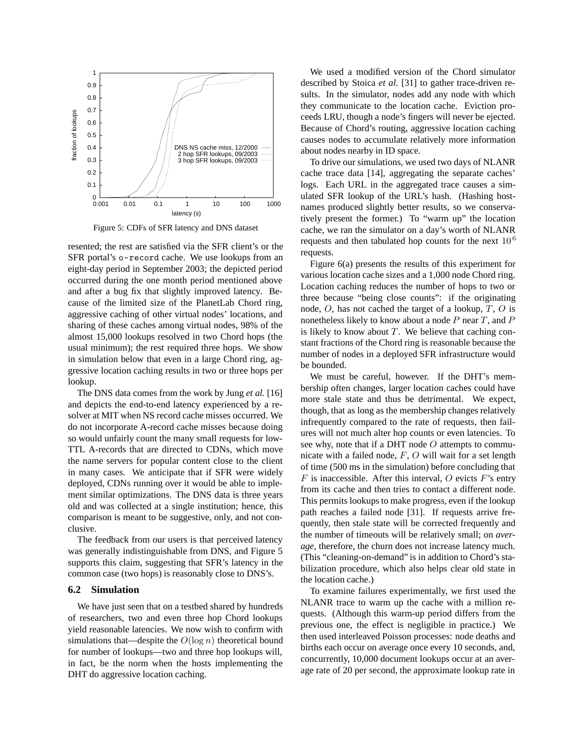

Figure 5: CDFs of SFR latency and DNS dataset

resented; the rest are satisfied via the SFR client's or the SFR portal's o-record cache. We use lookups from an eight-day period in September 2003; the depicted period occurred during the one month period mentioned above and after a bug fix that slightly improved latency. Because of the limited size of the PlanetLab Chord ring, aggressive caching of other virtual nodes' locations, and sharing of these caches among virtual nodes, 98% of the almost 15,000 lookups resolved in two Chord hops (the usual minimum); the rest required three hops. We show in simulation below that even in a large Chord ring, aggressive location caching results in two or three hops per lookup.

The DNS data comes from the work by Jung *et al.* [16] and depicts the end-to-end latency experienced by a resolver at MIT when NS record cache misses occurred. We do not incorporate A-record cache misses because doing so would unfairly count the many small requests for low-TTL A-records that are directed to CDNs, which move the name servers for popular content close to the client in many cases. We anticipate that if SFR were widely deployed, CDNs running over it would be able to implement similar optimizations. The DNS data is three years old and was collected at a single institution; hence, this comparison is meant to be suggestive, only, and not conclusive.

The feedback from our users is that perceived latency was generally indistinguishable from DNS, and Figure 5 supports this claim, suggesting that SFR's latency in the common case (two hops) is reasonably close to DNS's.

#### **6.2 Simulation**

We have just seen that on a testbed shared by hundreds of researchers, two and even three hop Chord lookups yield reasonable latencies. We now wish to confirm with simulations that—despite the *<sup>O</sup>*(log *<sup>n</sup>*) theoretical bound for number of lookups—two and three hop lookups will, in fact, be the norm when the hosts implementing the DHT do aggressive location caching.

We used a modified version of the Chord simulator described by Stoica *et al.* [31] to gather trace-driven results. In the simulator, nodes add any node with which they communicate to the location cache. Eviction proceeds LRU, though a node's fingers will never be ejected. Because of Chord's routing, aggressive location caching causes nodes to accumulate relatively more information about nodes nearby in ID space.

To drive our simulations, we used two days of NLANR cache trace data [14], aggregating the separate caches' logs. Each URL in the aggregated trace causes a simulated SFR lookup of the URL's hash. (Hashing hostnames produced slightly better results, so we conservatively present the former.) To "warm up" the location cache, we ran the simulator on a day's worth of NLANR requests and then tabulated hop counts for the next  $10^6$ requests.

Figure 6(a) presents the results of this experiment for various location cache sizes and a 1,000 node Chord ring. Location caching reduces the number of hops to two or three because "being close counts": if the originating node, *O*, has not cached the target of a lookup, *T* , *O* is nonetheless likely to know about a node *P* near *T* , and *P* is likely to know about  $T$ . We believe that caching constant fractions of the Chord ring is reasonable because the number of nodes in a deployed SFR infrastructure would be bounded.

We must be careful, however. If the DHT's membership often changes, larger location caches could have more stale state and thus be detrimental. We expect, though, that as long as the membership changes relatively infrequently compared to the rate of requests, then failures will not much alter hop counts or even latencies. To see why, note that if a DHT node *O* attempts to communicate with a failed node, *F*, *O* will wait for a set length of time (500 ms in the simulation) before concluding that *F* is inaccessible. After this interval, *O* evicts *F*'s entry from its cache and then tries to contact a different node. This permits lookups to make progress, even if the lookup path reaches a failed node [31]. If requests arrive frequently, then stale state will be corrected frequently and the number of timeouts will be relatively small; on *average*, therefore, the churn does not increase latency much. (This "cleaning-on-demand" is in addition to Chord's stabilization procedure, which also helps clear old state in the location cache.)

To examine failures experimentally, we first used the NLANR trace to warm up the cache with a million requests. (Although this warm-up period differs from the previous one, the effect is negligible in practice.) We then used interleaved Poisson processes: node deaths and births each occur on average once every 10 seconds, and, concurrently, 10,000 document lookups occur at an average rate of 20 per second, the approximate lookup rate in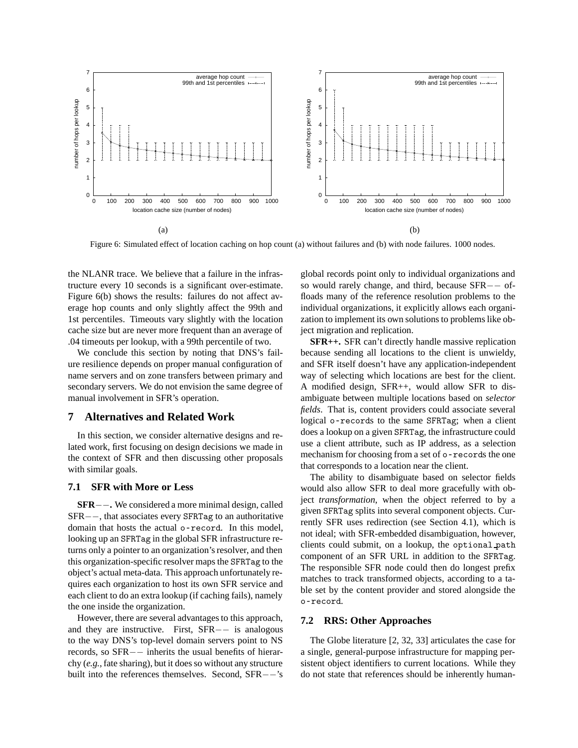

Figure 6: Simulated effect of location caching on hop count (a) without failures and (b) with node failures. 1000 nodes.

the NLANR trace. We believe that a failure in the infrastructure every 10 seconds is a significant over-estimate. Figure 6(b) shows the results: failures do not affect average hop counts and only slightly affect the 99th and 1st percentiles. Timeouts vary slightly with the location cache size but are never more frequent than an average of .04 timeouts per lookup, with a 99th percentile of two.

We conclude this section by noting that DNS's failure resilience depends on proper manual configuration of name servers and on zone transfers between primary and secondary servers. We do not envision the same degree of manual involvement in SFR's operation.

### **7 Alternatives and Related Work**

In this section, we consider alternative designs and related work, first focusing on design decisions we made in the context of SFR and then discussing other proposals with similar goals.

#### **7.1 SFR with More or Less**

**SFR***−−***.** We considered a more minimal design, called SFR*−−*, that associates every SFRTag to an authoritative domain that hosts the actual o-record. In this model, looking up an SFRTag in the global SFR infrastructure returns only a pointer to an organization's resolver, and then this organization-specific resolver maps the SFRTag to the object's actual meta-data. This approach unfortunately requires each organization to host its own SFR service and each client to do an extra lookup (if caching fails), namely the one inside the organization.

However, there are several advantages to this approach, and they are instructive. First, SFR*−−* is analogous to the way DNS's top-level domain servers point to NS records, so SFR*−−* inherits the usual benefits of hierarchy (*e.g.*, fate sharing), but it does so without any structure built into the references themselves. Second, SFR*−−*'s global records point only to individual organizations and so would rarely change, and third, because SFR*−−* offloads many of the reference resolution problems to the individual organizations, it explicitly allows each organization to implement its own solutions to problems like object migration and replication.

**SFR++.** SFR can't directly handle massive replication because sending all locations to the client is unwieldy, and SFR itself doesn't have any application-independent way of selecting which locations are best for the client. A modified design, SFR++, would allow SFR to disambiguate between multiple locations based on *selector fields*. That is, content providers could associate several logical o-records to the same SFRTag; when a client does a lookup on a given SFRTag, the infrastructure could use a client attribute, such as IP address, as a selection mechanism for choosing from a set of o-records the one that corresponds to a location near the client.

The ability to disambiguate based on selector fields would also allow SFR to deal more gracefully with object *transformation*, when the object referred to by a given SFRTag splits into several component objects. Currently SFR uses redirection (see Section 4.1), which is not ideal; with SFR-embedded disambiguation, however, clients could submit, on a lookup, the optional path component of an SFR URL in addition to the SFRTag. The responsible SFR node could then do longest prefix matches to track transformed objects, according to a table set by the content provider and stored alongside the o-record.

#### **7.2 RRS: Other Approaches**

The Globe literature [2, 32, 33] articulates the case for a single, general-purpose infrastructure for mapping persistent object identifiers to current locations. While they do not state that references should be inherently human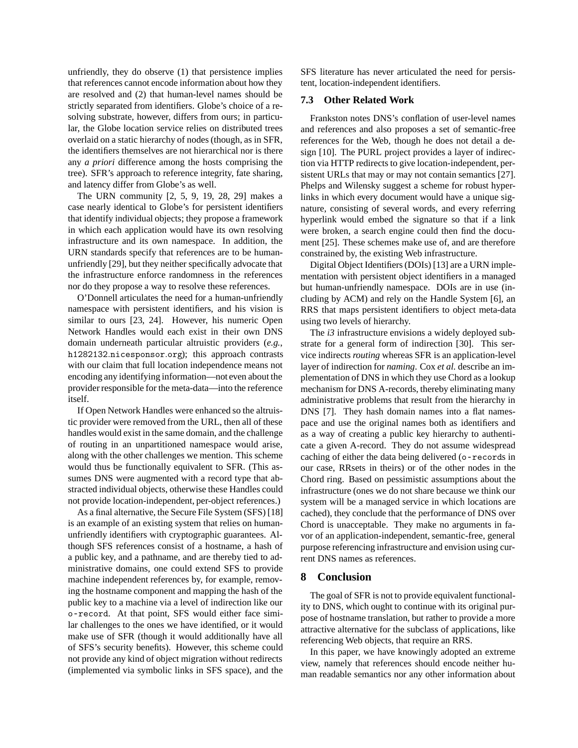unfriendly, they do observe (1) that persistence implies that references cannot encode information about how they are resolved and (2) that human-level names should be strictly separated from identifiers. Globe's choice of a resolving substrate, however, differs from ours; in particular, the Globe location service relies on distributed trees overlaid on a static hierarchy of nodes (though, as in SFR, the identifiers themselves are not hierarchical nor is there any *a priori* difference among the hosts comprising the tree). SFR's approach to reference integrity, fate sharing, and latency differ from Globe's as well.

The URN community [2, 5, 9, 19, 28, 29] makes a case nearly identical to Globe's for persistent identifiers that identify individual objects; they propose a framework in which each application would have its own resolving infrastructure and its own namespace. In addition, the URN standards specify that references are to be humanunfriendly [29], but they neither specifically advocate that the infrastructure enforce randomness in the references nor do they propose a way to resolve these references.

O'Donnell articulates the need for a human-unfriendly namespace with persistent identifiers, and his vision is similar to ours [23, 24]. However, his numeric Open Network Handles would each exist in their own DNS domain underneath particular altruistic providers (*e.g.*, h1282132*.*nicesponsor*.*org); this approach contrasts with our claim that full location independence means not encoding any identifying information—not even about the provider responsible for the meta-data—into the reference itself.

If Open Network Handles were enhanced so the altruistic provider were removed from the URL, then all of these handles would exist in the same domain, and the challenge of routing in an unpartitioned namespace would arise, along with the other challenges we mention. This scheme would thus be functionally equivalent to SFR. (This assumes DNS were augmented with a record type that abstracted individual objects, otherwise these Handles could not provide location-independent, per-object references.)

As a final alternative, the Secure File System (SFS) [18] is an example of an existing system that relies on humanunfriendly identifiers with cryptographic guarantees. Although SFS references consist of a hostname, a hash of a public key, and a pathname, and are thereby tied to administrative domains, one could extend SFS to provide machine independent references by, for example, removing the hostname component and mapping the hash of the public key to a machine via a level of indirection like our o-record. At that point, SFS would either face similar challenges to the ones we have identified, or it would make use of SFR (though it would additionally have all of SFS's security benefits). However, this scheme could not provide any kind of object migration without redirects (implemented via symbolic links in SFS space), and the SFS literature has never articulated the need for persistent, location-independent identifiers.

# **7.3 Other Related Work**

Frankston notes DNS's conflation of user-level names and references and also proposes a set of semantic-free references for the Web, though he does not detail a design [10]. The PURL project provides a layer of indirection via HTTP redirects to give location-independent, persistent URLs that may or may not contain semantics [27]. Phelps and Wilensky suggest a scheme for robust hyperlinks in which every document would have a unique signature, consisting of several words, and every referring hyperlink would embed the signature so that if a link were broken, a search engine could then find the document [25]. These schemes make use of, and are therefore constrained by, the existing Web infrastructure.

Digital Object Identifiers (DOIs) [13] are a URN implementation with persistent object identifiers in a managed but human-unfriendly namespace. DOIs are in use (including by ACM) and rely on the Handle System [6], an RRS that maps persistent identifiers to object meta-data using two levels of hierarchy.

The *i3* infrastructure envisions a widely deployed substrate for a general form of indirection [30]. This service indirects *routing* whereas SFR is an application-level layer of indirection for *naming*. Cox *et al.* describe an implementation of DNS in which they use Chord as a lookup mechanism for DNS A-records, thereby eliminating many administrative problems that result from the hierarchy in DNS [7]. They hash domain names into a flat namespace and use the original names both as identifiers and as a way of creating a public key hierarchy to authenticate a given A-record. They do not assume widespread caching of either the data being delivered (o-records in our case, RRsets in theirs) or of the other nodes in the Chord ring. Based on pessimistic assumptions about the infrastructure (ones we do not share because we think our system will be a managed service in which locations are cached), they conclude that the performance of DNS over Chord is unacceptable. They make no arguments in favor of an application-independent, semantic-free, general purpose referencing infrastructure and envision using current DNS names as references.

# **8 Conclusion**

The goal of SFR is not to provide equivalent functionality to DNS, which ought to continue with its original purpose of hostname translation, but rather to provide a more attractive alternative for the subclass of applications, like referencing Web objects, that require an RRS.

In this paper, we have knowingly adopted an extreme view, namely that references should encode neither human readable semantics nor any other information about